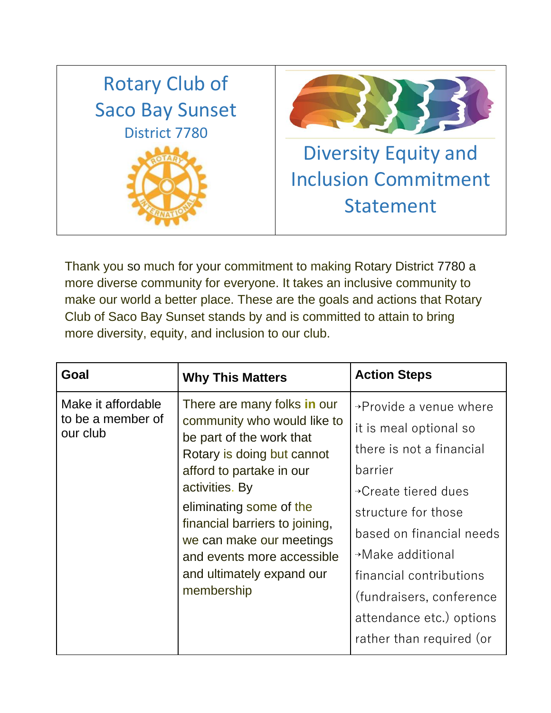

Thank you so much for your commitment to making Rotary District 7780 a more diverse community for everyone. It takes an inclusive community to make our world a better place. These are the goals and actions that Rotary Club of Saco Bay Sunset stands by and is committed to attain to bring more diversity, equity, and inclusion to our club.

| Goal                                                | <b>Why This Matters</b>                                                                                                                                                                                                                                                                                                              | <b>Action Steps</b>                                                                                                                                                                                                                                                                                                |
|-----------------------------------------------------|--------------------------------------------------------------------------------------------------------------------------------------------------------------------------------------------------------------------------------------------------------------------------------------------------------------------------------------|--------------------------------------------------------------------------------------------------------------------------------------------------------------------------------------------------------------------------------------------------------------------------------------------------------------------|
| Make it affordable<br>to be a member of<br>our club | There are many folks in our<br>community who would like to<br>be part of the work that<br>Rotary is doing but cannot<br>afford to partake in our<br>activities. By<br>eliminating some of the<br>financial barriers to joining,<br>we can make our meetings<br>and events more accessible<br>and ultimately expand our<br>membership | $\rightarrow$ Provide a venue where<br>it is meal optional so<br>there is not a financial<br>barrier<br>→ Create tiered dues<br>structure for those<br>based on financial needs<br>→Make additional<br>financial contributions<br>(fundraisers, conference<br>attendance etc.) options<br>rather than required (or |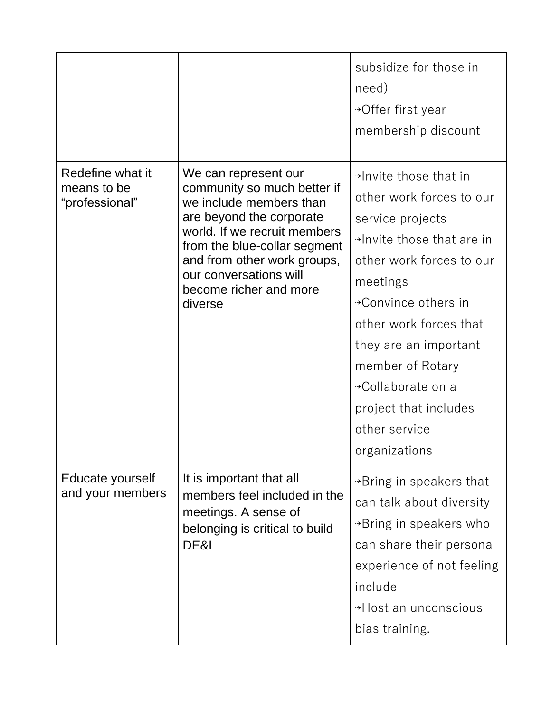|                                                   |                                                                                                                                                                                                                                                                          | subsidize for those in<br>need)<br>→Offer first year<br>membership discount                                                                                                                                                                                                                                                           |
|---------------------------------------------------|--------------------------------------------------------------------------------------------------------------------------------------------------------------------------------------------------------------------------------------------------------------------------|---------------------------------------------------------------------------------------------------------------------------------------------------------------------------------------------------------------------------------------------------------------------------------------------------------------------------------------|
| Redefine what it<br>means to be<br>"professional" | We can represent our<br>community so much better if<br>we include members than<br>are beyond the corporate<br>world. If we recruit members<br>from the blue-collar segment<br>and from other work groups,<br>our conversations will<br>become richer and more<br>diverse | $\rightarrow$ Invite those that in<br>other work forces to our<br>service projects<br>→Invite those that are in<br>other work forces to our<br>meetings<br>→Convince others in<br>other work forces that<br>they are an important<br>member of Rotary<br>→Collaborate on a<br>project that includes<br>other service<br>organizations |
| Educate yourself<br>and your members              | It is important that all<br>members feel included in the<br>meetings. A sense of<br>belonging is critical to build<br>DE&I                                                                                                                                               | $\rightarrow$ Bring in speakers that<br>can talk about diversity<br>$\rightarrow$ Bring in speakers who<br>can share their personal<br>experience of not feeling<br>include<br>→ Host an unconscious<br>bias training.                                                                                                                |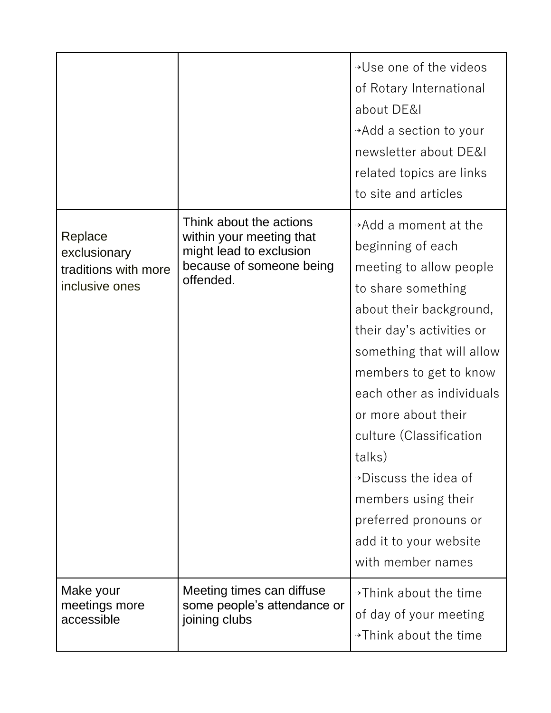|                                                                   |                                                                                                                         | →Use one of the videos<br>of Rotary International<br>about DE&I<br>→Add a section to your<br>newsletter about DE&I<br>related topics are links<br>to site and articles                                                                                                                                                                                                                                                                 |
|-------------------------------------------------------------------|-------------------------------------------------------------------------------------------------------------------------|----------------------------------------------------------------------------------------------------------------------------------------------------------------------------------------------------------------------------------------------------------------------------------------------------------------------------------------------------------------------------------------------------------------------------------------|
| Replace<br>exclusionary<br>traditions with more<br>inclusive ones | Think about the actions<br>within your meeting that<br>might lead to exclusion<br>because of someone being<br>offended. | $\rightarrow$ Add a moment at the<br>beginning of each<br>meeting to allow people<br>to share something<br>about their background,<br>their day's activities or<br>something that will allow<br>members to get to know<br>each other as individuals<br>or more about their<br>culture (Classification<br>talks)<br>→Discuss the idea of<br>members using their<br>preferred pronouns or<br>add it to your website<br>with member names |
| Make your<br>meetings more<br>accessible                          | Meeting times can diffuse<br>some people's attendance or<br>joining clubs                                               | $\rightarrow$ Think about the time<br>of day of your meeting<br>→Think about the time                                                                                                                                                                                                                                                                                                                                                  |